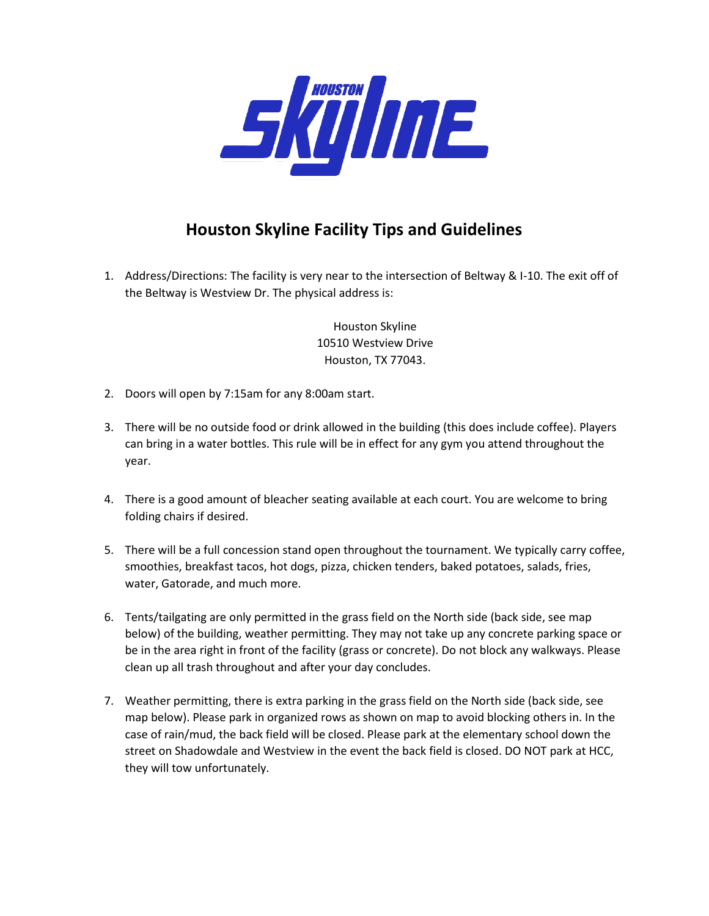

## **Houston Skyline Facility Tips and Guidelines**

1. Address/Directions: The facility is very near to the intersection of Beltway & I-10. The exit off of the Beltway is Westview Dr. The physical address is:

> Houston Skyline 10510 Westview Drive Houston, TX 77043.

- 2. Doors will open by 7:15am for any 8:00am start.
- 3. There will be no outside food or drink allowed in the building (this does include coffee). Players can bring in a water bottles. This rule will be in effect for any gym you attend throughout the year.
- 4. There is a good amount of bleacher seating available at each court. You are welcome to bring folding chairs if desired.
- 5. There will be a full concession stand open throughout the tournament. We typically carry coffee, smoothies, breakfast tacos, hot dogs, pizza, chicken tenders, baked potatoes, salads, fries, water, Gatorade, and much more.
- 6. Tents/tailgating are only permitted in the grass field on the North side (back side, see map below) of the building, weather permitting. They may not take up any concrete parking space or be in the area right in front of the facility (grass or concrete). Do not block any walkways. Please clean up all trash throughout and after your day concludes.
- 7. Weather permitting, there is extra parking in the grass field on the North side (back side, see map below). Please park in organized rows as shown on map to avoid blocking others in. In the case of rain/mud, the back field will be closed. Please park at the elementary school down the street on Shadowdale and Westview in the event the back field is closed. DO NOT park at HCC, they will tow unfortunately.